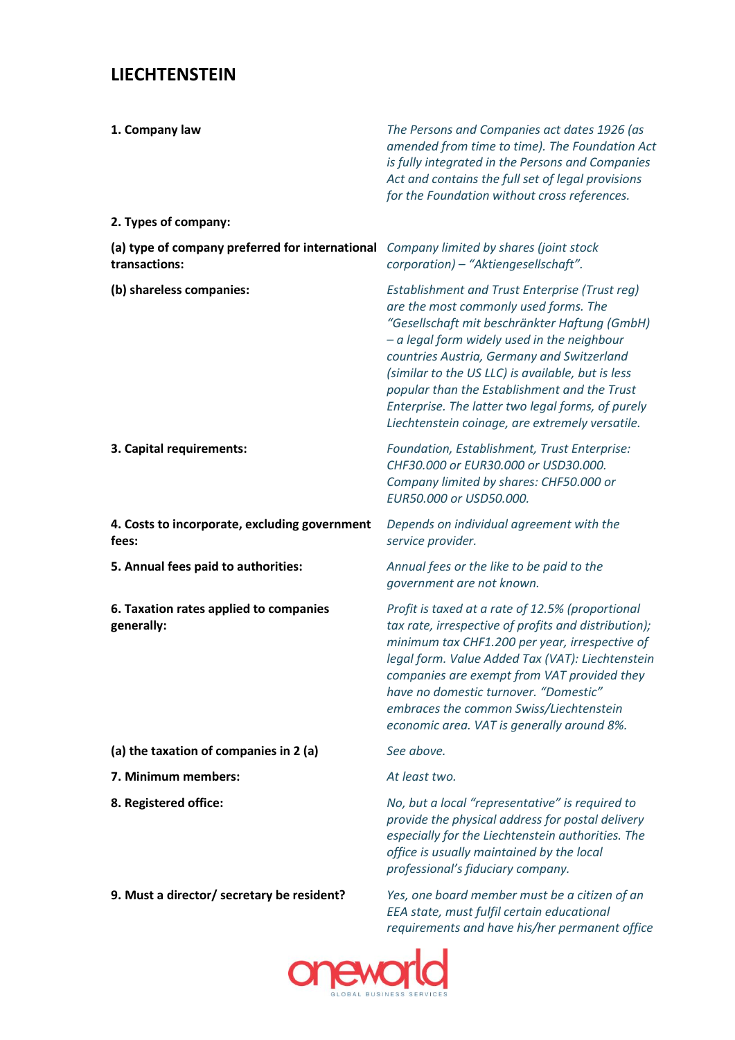## **LIECHTENSTEIN**

| 1. Company law<br>2. Types of company:                                                 | The Persons and Companies act dates 1926 (as<br>amended from time to time). The Foundation Act<br>is fully integrated in the Persons and Companies<br>Act and contains the full set of legal provisions<br>for the Foundation without cross references.                                                                                                                                                                                                     |
|----------------------------------------------------------------------------------------|-------------------------------------------------------------------------------------------------------------------------------------------------------------------------------------------------------------------------------------------------------------------------------------------------------------------------------------------------------------------------------------------------------------------------------------------------------------|
| (a) type of company preferred for international Company limited by shares (joint stock |                                                                                                                                                                                                                                                                                                                                                                                                                                                             |
| transactions:                                                                          | corporation) - "Aktiengesellschaft".                                                                                                                                                                                                                                                                                                                                                                                                                        |
| (b) shareless companies:                                                               | <b>Establishment and Trust Enterprise (Trust reg)</b><br>are the most commonly used forms. The<br>"Gesellschaft mit beschränkter Haftung (GmbH)<br>$-$ a legal form widely used in the neighbour<br>countries Austria, Germany and Switzerland<br>(similar to the US LLC) is available, but is less<br>popular than the Establishment and the Trust<br>Enterprise. The latter two legal forms, of purely<br>Liechtenstein coinage, are extremely versatile. |
| 3. Capital requirements:                                                               | Foundation, Establishment, Trust Enterprise:<br>CHF30.000 or EUR30.000 or USD30.000.<br>Company limited by shares: CHF50.000 or<br>EUR50.000 or USD50.000.                                                                                                                                                                                                                                                                                                  |
| 4. Costs to incorporate, excluding government<br>fees:                                 | Depends on individual agreement with the<br>service provider.                                                                                                                                                                                                                                                                                                                                                                                               |
| 5. Annual fees paid to authorities:                                                    | Annual fees or the like to be paid to the<br>government are not known.                                                                                                                                                                                                                                                                                                                                                                                      |
| 6. Taxation rates applied to companies<br>generally:                                   | Profit is taxed at a rate of 12.5% (proportional<br>tax rate, irrespective of profits and distribution);<br>minimum tax CHF1.200 per year, irrespective of<br>legal form. Value Added Tax (VAT): Liechtenstein<br>companies are exempt from VAT provided they<br>have no domestic turnover. "Domestic"<br>embraces the common Swiss/Liechtenstein<br>economic area. VAT is generally around 8%.                                                             |
| (a) the taxation of companies in 2 (a)                                                 | See above.                                                                                                                                                                                                                                                                                                                                                                                                                                                  |
| 7. Minimum members:                                                                    | At least two.                                                                                                                                                                                                                                                                                                                                                                                                                                               |
| 8. Registered office:                                                                  | No, but a local "representative" is required to<br>provide the physical address for postal delivery<br>especially for the Liechtenstein authorities. The<br>office is usually maintained by the local<br>professional's fiduciary company.                                                                                                                                                                                                                  |
| 9. Must a director/ secretary be resident?                                             | Yes, one board member must be a citizen of an<br>EEA state, must fulfil certain educational<br>requirements and have his/her permanent office                                                                                                                                                                                                                                                                                                               |